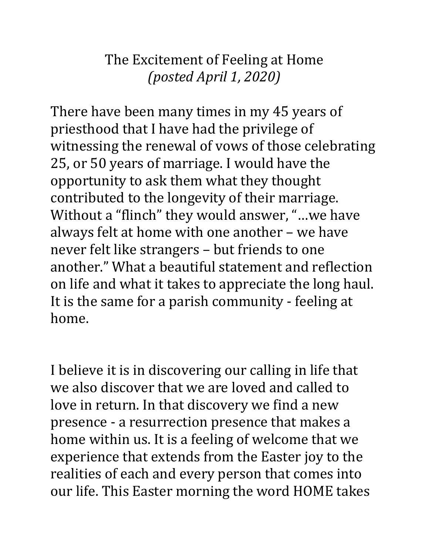## The Excitement of Feeling at Home *(posted April 1, 2020)*

There have been many times in my 45 years of priesthood that I have had the privilege of witnessing the renewal of vows of those celebrating 25, or 50 years of marriage. I would have the opportunity to ask them what they thought contributed to the longevity of their marriage. Without a "flinch" they would answer, "…we have always felt at home with one another – we have never felt like strangers – but friends to one another." What a beautiful statement and reflection on life and what it takes to appreciate the long haul. It is the same for a parish community - feeling at home.

I believe it is in discovering our calling in life that we also discover that we are loved and called to love in return. In that discovery we find a new presence - a resurrection presence that makes a home within us. It is a feeling of welcome that we experience that extends from the Easter joy to the realities of each and every person that comes into our life. This Easter morning the word HOME takes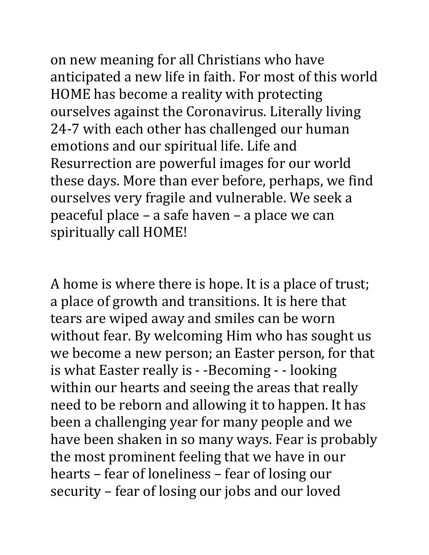on new meaning for all Christians who have anticipated a new life in faith. For most of this world HOME has become a reality with protecting ourselves against the Coronavirus. Literally living 24-7 with each other has challenged our human emotions and our spiritual life. Life and Resurrection are powerful images for our world these days. More than ever before, perhaps, we find ourselves very fragile and vulnerable. We seek a peaceful place – a safe haven – a place we can spiritually call HOME!

A home is where there is hope. It is a place of trust; a place of growth and transitions. It is here that tears are wiped away and smiles can be worn without fear. By welcoming Him who has sought us we become a new person; an Easter person, for that is what Easter really is - -Becoming - - looking within our hearts and seeing the areas that really need to be reborn and allowing it to happen. It has been a challenging year for many people and we have been shaken in so many ways. Fear is probably the most prominent feeling that we have in our hearts – fear of loneliness – fear of losing our security – fear of losing our jobs and our loved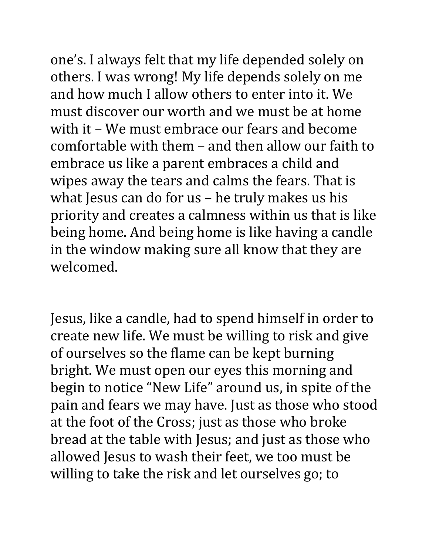one's. I always felt that my life depended solely on others. I was wrong! My life depends solely on me and how much I allow others to enter into it. We must discover our worth and we must be at home with it – We must embrace our fears and become comfortable with them – and then allow our faith to embrace us like a parent embraces a child and wipes away the tears and calms the fears. That is what Jesus can do for us – he truly makes us his priority and creates a calmness within us that is like being home. And being home is like having a candle in the window making sure all know that they are welcomed.

Jesus, like a candle, had to spend himself in order to create new life. We must be willing to risk and give of ourselves so the flame can be kept burning bright. We must open our eyes this morning and begin to notice "New Life" around us, in spite of the pain and fears we may have. Just as those who stood at the foot of the Cross; just as those who broke bread at the table with Jesus; and just as those who allowed Jesus to wash their feet, we too must be willing to take the risk and let ourselves go; to